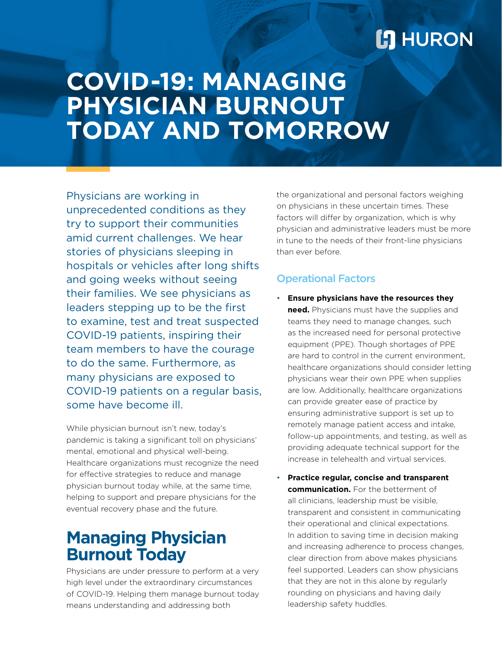## **L'I** HURON

# **COVID-19: MANAGING PHYSICIAN BURNOUT TODAY AND TOMORROW**

Physicians are working in unprecedented conditions as they try to support their communities amid current challenges. We hear stories of physicians sleeping in hospitals or vehicles after long shifts and going weeks without seeing their families. We see physicians as leaders stepping up to be the first to examine, test and treat suspected COVID-19 patients, inspiring their team members to have the courage to do the same. Furthermore, as many physicians are exposed to COVID-19 patients on a regular basis, some have become ill.

While physician burnout isn't new, today's pandemic is taking a significant toll on physicians' mental, emotional and physical well-being. Healthcare organizations must recognize the need for effective strategies to reduce and manage physician burnout today while, at the same time, helping to support and prepare physicians for the eventual recovery phase and the future.

### **Managing Physician Burnout Today**

Physicians are under pressure to perform at a very high level under the extraordinary circumstances of COVID-19. Helping them manage burnout today means understanding and addressing both

the organizational and personal factors weighing on physicians in these uncertain times. These factors will differ by organization, which is why physician and administrative leaders must be more in tune to the needs of their front-line physicians than ever before.

### Operational Factors

- **Ensure physicians have the resources they need.** Physicians must have the supplies and teams they need to manage changes, such as the increased need for personal protective equipment (PPE). Though shortages of PPE are hard to control in the current environment, healthcare organizations should consider letting physicians wear their own PPE when supplies are low. Additionally, healthcare organizations can provide greater ease of practice by ensuring administrative support is set up to remotely manage patient access and intake, follow-up appointments, and testing, as well as providing adequate technical support for the increase in telehealth and virtual services.
- **Practice regular, concise and transparent communication.** For the betterment of all clinicians, leadership must be visible, transparent and consistent in communicating their operational and clinical expectations. In addition to saving time in decision making and increasing adherence to process changes, clear direction from above makes physicians feel supported. Leaders can show physicians that they are not in this alone by regularly rounding on physicians and having daily leadership safety huddles.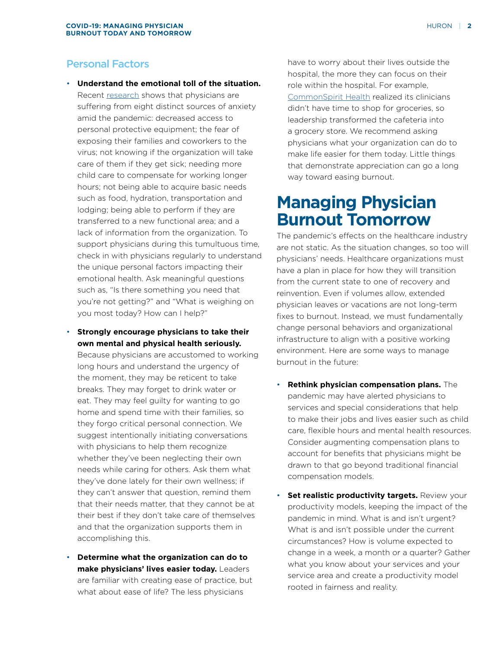#### Personal Factors

- **Understand the emotional toll of the situation.**  Recent [research](https://jamanetwork.com/journals/jama/fullarticle/2764380) shows that physicians are suffering from eight distinct sources of anxiety amid the pandemic: decreased access to personal protective equipment; the fear of exposing their families and coworkers to the virus; not knowing if the organization will take care of them if they get sick; needing more child care to compensate for working longer hours; not being able to acquire basic needs such as food, hydration, transportation and lodging; being able to perform if they are transferred to a new functional area; and a lack of information from the organization. To support physicians during this tumultuous time, check in with physicians regularly to understand the unique personal factors impacting their emotional health. Ask meaningful questions such as, "Is there something you need that you're not getting?" and "What is weighing on you most today? How can I help?"
- **Strongly encourage physicians to take their own mental and physical health seriously.**  Because physicians are accustomed to working
	- long hours and understand the urgency of the moment, they may be reticent to take breaks. They may forget to drink water or eat. They may feel guilty for wanting to go home and spend time with their families, so they forgo critical personal connection. We suggest intentionally initiating conversations with physicians to help them recognize whether they've been neglecting their own needs while caring for others. Ask them what they've done lately for their own wellness; if they can't answer that question, remind them that their needs matter, that they cannot be at their best if they don't take care of themselves and that the organization supports them in accomplishing this.
- **Determine what the organization can do to make physicians' lives easier today.** Leaders are familiar with creating ease of practice, but what about ease of life? The less physicians

have to worry about their lives outside the hospital, the more they can focus on their role within the hospital. For example, [CommonSpirit Health](https://www.beckershospitalreview.com/workforce/commonspirit-turns-cafeterias-into-grocery-stores-for-physicians.html) realized its clinicians didn't have time to shop for groceries, so leadership transformed the cafeteria into a grocery store. We recommend asking physicians what your organization can do to make life easier for them today. Little things that demonstrate appreciation can go a long way toward easing burnout.

### **Managing Physician Burnout Tomorrow**

The pandemic's effects on the healthcare industry are not static. As the situation changes, so too will physicians' needs. Healthcare organizations must have a plan in place for how they will transition from the current state to one of recovery and reinvention. Even if volumes allow, extended physician leaves or vacations are not long-term fixes to burnout. Instead, we must fundamentally change personal behaviors and organizational infrastructure to align with a positive working environment. Here are some ways to manage burnout in the future:

- **Rethink physician compensation plans.** The pandemic may have alerted physicians to services and special considerations that help to make their jobs and lives easier such as child care, flexible hours and mental health resources. Consider augmenting compensation plans to account for benefits that physicians might be drawn to that go beyond traditional financial compensation models.
- **Set realistic productivity targets.** Review your productivity models, keeping the impact of the pandemic in mind. What is and isn't urgent? What is and isn't possible under the current circumstances? How is volume expected to change in a week, a month or a quarter? Gather what you know about your services and your service area and create a productivity model rooted in fairness and reality.